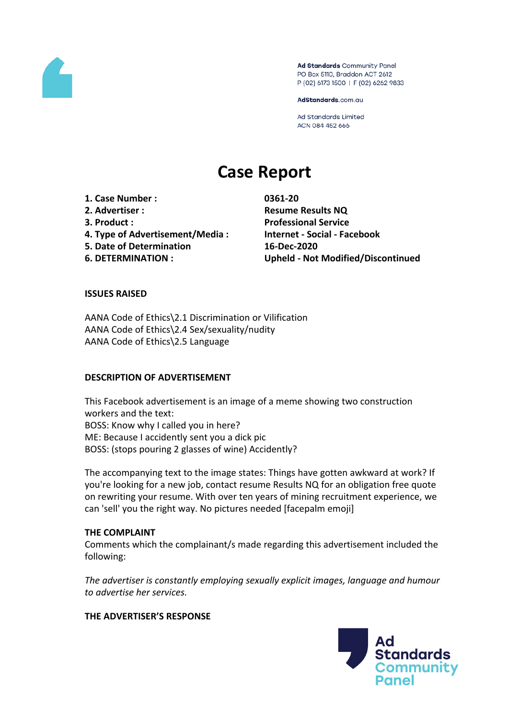

Ad Standards Community Panel PO Box 5110, Braddon ACT 2612 P (02) 6173 1500 | F (02) 6262 9833

AdStandards.com.au

Ad Standards Limited ACN 084 452 666

# **Case Report**

**1. Case Number : 0361-20 2. Advertiser : Resume Results NQ 3. Product : Professional Service 4. Type of Advertisement/Media : Internet - Social - Facebook 5. Date of Determination 16-Dec-2020**

**6. DETERMINATION : Upheld - Not Modified/Discontinued**

## **ISSUES RAISED**

AANA Code of Ethics\2.1 Discrimination or Vilification AANA Code of Ethics\2.4 Sex/sexuality/nudity AANA Code of Ethics\2.5 Language

#### **DESCRIPTION OF ADVERTISEMENT**

This Facebook advertisement is an image of a meme showing two construction workers and the text: BOSS: Know why I called you in here? ME: Because I accidently sent you a dick pic BOSS: (stops pouring 2 glasses of wine) Accidently?

The accompanying text to the image states: Things have gotten awkward at work? If you're looking for a new job, contact resume Results NQ for an obligation free quote on rewriting your resume. With over ten years of mining recruitment experience, we can 'sell' you the right way. No pictures needed [facepalm emoji]

#### **THE COMPLAINT**

Comments which the complainant/s made regarding this advertisement included the following:

*The advertiser is constantly employing sexually explicit images, language and humour to advertise her services.*

#### **THE ADVERTISER'S RESPONSE**

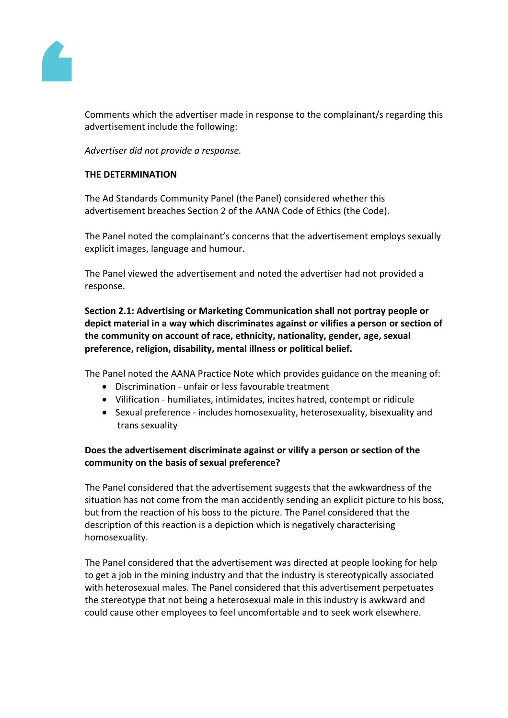

Comments which the advertiser made in response to the complainant/s regarding this advertisement include the following:

*Advertiser did not provide a response.*

## **THE DETERMINATION**

The Ad Standards Community Panel (the Panel) considered whether this advertisement breaches Section 2 of the AANA Code of Ethics (the Code).

The Panel noted the complainant's concerns that the advertisement employs sexually explicit images, language and humour.

The Panel viewed the advertisement and noted the advertiser had not provided a response.

**Section 2.1: Advertising or Marketing Communication shall not portray people or depict material in a way which discriminates against or vilifies a person or section of the community on account of race, ethnicity, nationality, gender, age, sexual preference, religion, disability, mental illness or political belief.**

The Panel noted the AANA Practice Note which provides guidance on the meaning of:

- Discrimination unfair or less favourable treatment
- Vilification humiliates, intimidates, incites hatred, contempt or ridicule
- Sexual preference includes homosexuality, heterosexuality, bisexuality and trans sexuality

# **Does the advertisement discriminate against or vilify a person or section of the community on the basis of sexual preference?**

The Panel considered that the advertisement suggests that the awkwardness of the situation has not come from the man accidently sending an explicit picture to his boss, but from the reaction of his boss to the picture. The Panel considered that the description of this reaction is a depiction which is negatively characterising homosexuality.

The Panel considered that the advertisement was directed at people looking for help to get a job in the mining industry and that the industry is stereotypically associated with heterosexual males. The Panel considered that this advertisement perpetuates the stereotype that not being a heterosexual male in this industry is awkward and could cause other employees to feel uncomfortable and to seek work elsewhere.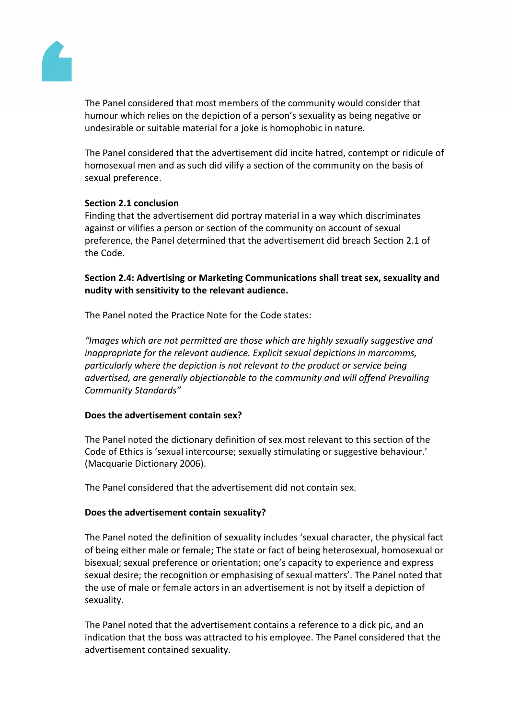

The Panel considered that most members of the community would consider that humour which relies on the depiction of a person's sexuality as being negative or undesirable or suitable material for a joke is homophobic in nature.

The Panel considered that the advertisement did incite hatred, contempt or ridicule of homosexual men and as such did vilify a section of the community on the basis of sexual preference.

## **Section 2.1 conclusion**

Finding that the advertisement did portray material in a way which discriminates against or vilifies a person or section of the community on account of sexual preference, the Panel determined that the advertisement did breach Section 2.1 of the Code.

**Section 2.4: Advertising or Marketing Communications shall treat sex, sexuality and nudity with sensitivity to the relevant audience.**

The Panel noted the Practice Note for the Code states:

*"Images which are not permitted are those which are highly sexually suggestive and inappropriate for the relevant audience. Explicit sexual depictions in marcomms, particularly where the depiction is not relevant to the product or service being advertised, are generally objectionable to the community and will offend Prevailing Community Standards"*

#### **Does the advertisement contain sex?**

The Panel noted the dictionary definition of sex most relevant to this section of the Code of Ethics is 'sexual intercourse; sexually stimulating or suggestive behaviour.' (Macquarie Dictionary 2006).

The Panel considered that the advertisement did not contain sex.

#### **Does the advertisement contain sexuality?**

The Panel noted the definition of sexuality includes 'sexual character, the physical fact of being either male or female; The state or fact of being heterosexual, homosexual or bisexual; sexual preference or orientation; one's capacity to experience and express sexual desire; the recognition or emphasising of sexual matters'. The Panel noted that the use of male or female actors in an advertisement is not by itself a depiction of sexuality.

The Panel noted that the advertisement contains a reference to a dick pic, and an indication that the boss was attracted to his employee. The Panel considered that the advertisement contained sexuality.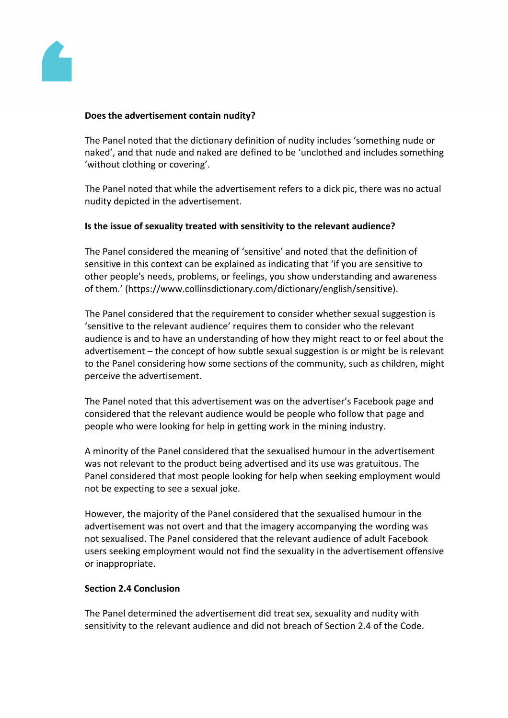

#### **Does the advertisement contain nudity?**

The Panel noted that the dictionary definition of nudity includes 'something nude or naked', and that nude and naked are defined to be 'unclothed and includes something 'without clothing or covering'.

The Panel noted that while the advertisement refers to a dick pic, there was no actual nudity depicted in the advertisement.

#### **Is the issue of sexuality treated with sensitivity to the relevant audience?**

The Panel considered the meaning of 'sensitive' and noted that the definition of sensitive in this context can be explained as indicating that 'if you are sensitive to other people's needs, problems, or feelings, you show understanding and awareness of them.' (https://www.collinsdictionary.com/dictionary/english/sensitive).

The Panel considered that the requirement to consider whether sexual suggestion is 'sensitive to the relevant audience' requires them to consider who the relevant audience is and to have an understanding of how they might react to or feel about the advertisement – the concept of how subtle sexual suggestion is or might be is relevant to the Panel considering how some sections of the community, such as children, might perceive the advertisement.

The Panel noted that this advertisement was on the advertiser's Facebook page and considered that the relevant audience would be people who follow that page and people who were looking for help in getting work in the mining industry.

A minority of the Panel considered that the sexualised humour in the advertisement was not relevant to the product being advertised and its use was gratuitous. The Panel considered that most people looking for help when seeking employment would not be expecting to see a sexual joke.

However, the majority of the Panel considered that the sexualised humour in the advertisement was not overt and that the imagery accompanying the wording was not sexualised. The Panel considered that the relevant audience of adult Facebook users seeking employment would not find the sexuality in the advertisement offensive or inappropriate.

#### **Section 2.4 Conclusion**

The Panel determined the advertisement did treat sex, sexuality and nudity with sensitivity to the relevant audience and did not breach of Section 2.4 of the Code.